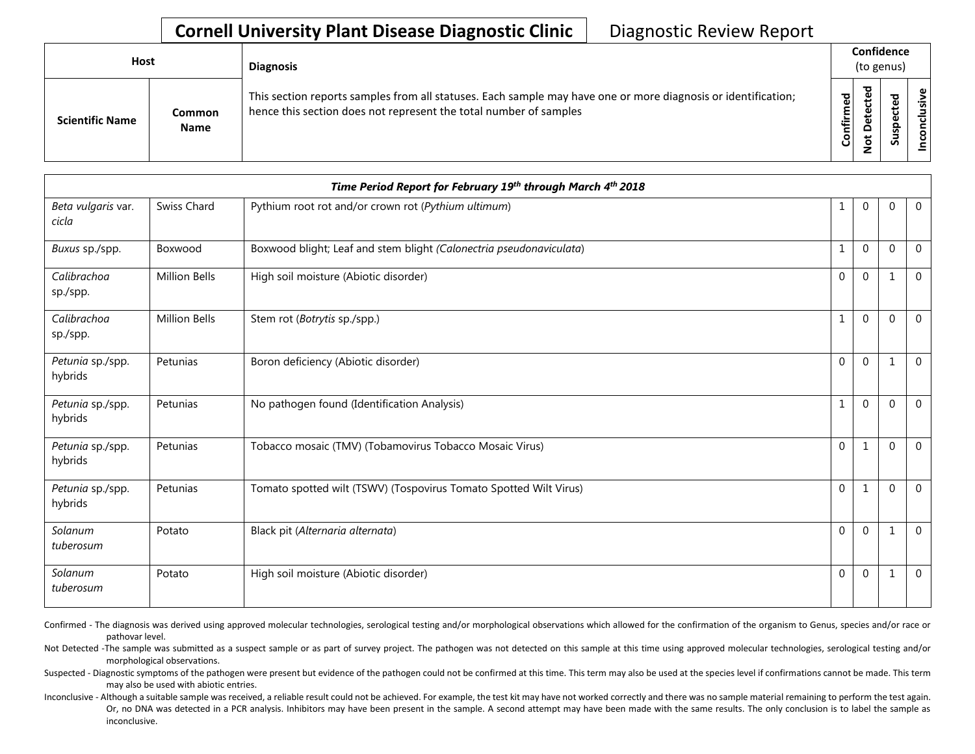## **Cornell University Plant Disease Diagnostic Clinic** | Diagnostic Review Report

| Host                   |                              | <b>Diagnosis</b>                                                                                                                                                                   |           | Confidence<br>(to genus) |    |                 |  |
|------------------------|------------------------------|------------------------------------------------------------------------------------------------------------------------------------------------------------------------------------|-----------|--------------------------|----|-----------------|--|
| <b>Scientific Name</b> | <b>Common</b><br><b>Name</b> | This section reports samples from all statuses. Each sample may have one or more diagnosis or identification;<br>hence this section does not represent the total number of samples | Confirmed | ъ<br>۵<br>٥<br>پ<br>⇁    | ທັ | ω<br>usiv<br>᠊ᠣ |  |

| Time Period Report for February 19th through March 4th 2018 |                      |                                                                     |              |                |              |                |  |
|-------------------------------------------------------------|----------------------|---------------------------------------------------------------------|--------------|----------------|--------------|----------------|--|
| Beta vulgaris var.<br>cicla                                 | Swiss Chard          | Pythium root rot and/or crown rot (Pythium ultimum)                 | 1            | $\mathbf{0}$   | $\Omega$     | $\overline{0}$ |  |
| Buxus sp./spp.                                              | Boxwood              | Boxwood blight; Leaf and stem blight (Calonectria pseudonaviculata) | 1            | $\mathbf{0}$   | $\Omega$     | $\overline{0}$ |  |
| Calibrachoa<br>sp./spp.                                     | <b>Million Bells</b> | High soil moisture (Abiotic disorder)                               | $\Omega$     | $\mathbf{0}$   | $\mathbf{1}$ | $\mathbf 0$    |  |
| Calibrachoa<br>sp./spp.                                     | <b>Million Bells</b> | Stem rot (Botrytis sp./spp.)                                        | 1            | $\mathbf{0}$   | $\Omega$     | $\overline{0}$ |  |
| Petunia sp./spp.<br>hybrids                                 | Petunias             | Boron deficiency (Abiotic disorder)                                 | $\Omega$     | $\mathbf{0}$   | $\mathbf{1}$ | $\Omega$       |  |
| Petunia sp./spp.<br>hybrids                                 | Petunias             | No pathogen found (Identification Analysis)                         | 1            | $\mathbf{0}$   | $\Omega$     | $\mathbf 0$    |  |
| Petunia sp./spp.<br>hybrids                                 | Petunias             | Tobacco mosaic (TMV) (Tobamovirus Tobacco Mosaic Virus)             | $\Omega$     | 1              | $\Omega$     | $\Omega$       |  |
| Petunia sp./spp.<br>hybrids                                 | Petunias             | Tomato spotted wilt (TSWV) (Tospovirus Tomato Spotted Wilt Virus)   | $\mathbf 0$  | 1              | $\Omega$     | $\mathbf{0}$   |  |
| Solanum<br>tuberosum                                        | Potato               | Black pit (Alternaria alternata)                                    | $\mathbf{0}$ | $\mathbf{0}$   | 1            | $\overline{0}$ |  |
| Solanum<br>tuberosum                                        | Potato               | High soil moisture (Abiotic disorder)                               | $\mathbf 0$  | $\overline{0}$ |              | $\mathbf{0}$   |  |

Confirmed - The diagnosis was derived using approved molecular technologies, serological testing and/or morphological observations which allowed for the confirmation of the organism to Genus, species and/or race or pathovar level.

Not Detected -The sample was submitted as a suspect sample or as part of survey project. The pathogen was not detected on this sample at this time using approved molecular technologies, serological testing and/or morphological observations.

Suspected - Diagnostic symptoms of the pathogen were present but evidence of the pathogen could not be confirmed at this time. This term may also be used at the species level if confirmations cannot be made. This term may also be used with abiotic entries.

Inconclusive - Although a suitable sample was received, a reliable result could not be achieved. For example, the test kit may have not worked correctly and there was no sample material remaining to perform the test again. Or, no DNA was detected in a PCR analysis. Inhibitors may have been present in the sample. A second attempt may have been made with the same results. The only conclusion is to label the sample as inconclusive.